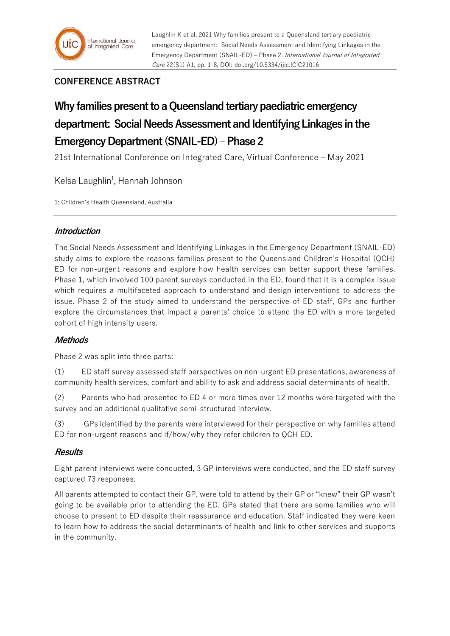

# **CONFERENCE ABSTRACT**

# **Why families present to a Queensland tertiary paediatric emergency department: Social Needs Assessment and Identifying Linkages in the Emergency Department (SNAIL-ED) –Phase 2**

21st International Conference on Integrated Care, Virtual Conference – May 2021

Kelsa Laughlin<sup>1</sup>, Hannah Johnson

1: Children's Health Queensland, Australia

## **Introduction**

The Social Needs Assessment and Identifying Linkages in the Emergency Department (SNAIL-ED) study aims to explore the reasons families present to the Queensland Children's Hospital (QCH) ED for non-urgent reasons and explore how health services can better support these families. Phase 1, which involved 100 parent surveys conducted in the ED, found that it is a complex issue which requires a multifaceted approach to understand and design interventions to address the issue. Phase 2 of the study aimed to understand the perspective of ED staff, GPs and further explore the circumstances that impact a parents' choice to attend the ED with a more targeted cohort of high intensity users.

## **Methods**

Phase 2 was split into three parts:

(1) ED staff survey assessed staff perspectives on non-urgent ED presentations, awareness of community health services, comfort and ability to ask and address social determinants of health.

(2) Parents who had presented to ED 4 or more times over 12 months were targeted with the survey and an additional qualitative semi-structured interview.

(3) GPs identified by the parents were interviewed for their perspective on why families attend ED for non-urgent reasons and if/how/why they refer children to QCH ED.

## **Results**

Eight parent interviews were conducted, 3 GP interviews were conducted, and the ED staff survey captured 73 responses.

All parents attempted to contact their GP, were told to attend by their GP or "knew" their GP wasn't going to be available prior to attending the ED. GPs stated that there are some families who will choose to present to ED despite their reassurance and education. Staff indicated they were keen to learn how to address the social determinants of health and link to other services and supports in the community.